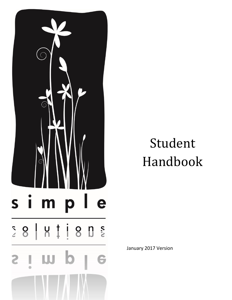

# Student Handbook

January 2017 Version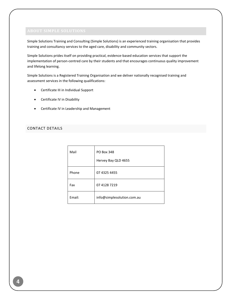<span id="page-4-0"></span>Simple Solutions Training and Consulting (Simple Solutions) is an experienced training organisation that provides training and consultancy services to the aged care, disability and community sectors.

Simple Solutions prides itself on providing practical, evidence-based education services that support the implementation of person-centred care by their students and that encourages continuous quality improvement and lifelong learning.

Simple Solutions is a Registered Training Organisation and we deliver nationally recognised training and assessment services in the following qualifications:

- Certificate III in Individual Support
- Certificate IV in Disability
- **•** Certificate IV in Leadership and Management

# <span id="page-4-1"></span>CONTACT DETAILS

| Mail   | <b>PO Box 348</b><br>Hervey Bay QLD 4655 |
|--------|------------------------------------------|
| Phone  | 07 4325 4455                             |
| Fax    | 07 4128 7219                             |
| Email: | info@simplesolution.com.au               |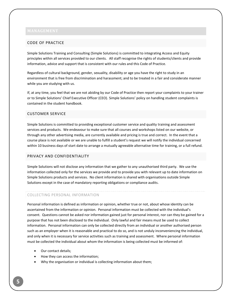# <span id="page-5-1"></span><span id="page-5-0"></span>CODE OF PRACTICE

Simple Solutions Training and Consulting (Simple Solutions) is committed to integrating Access and Equity principles within all services provided to our clients. All staff recognise the rights of students/clients and provide information, advice and support that is consistent with our rules and this Code of Practice.

Regardless of cultural background, gender, sexuality, disability or age you have the right to study in an environment that is free from discrimination and harassment; and to be treated in a fair and considerate manner while you are studying with us.

If, at any time, you feel that we are not abiding by our Code of Practice then report your complaints to your trainer or to Simple Solutions' Chief Executive Officer (CEO). Simple Solutions' policy on handling student complaints is contained in the student handbook.

# <span id="page-5-2"></span>CUSTOMER SERVICE

Simple Solutions is committed to providing exceptional customer service and quality training and assessment services and products. We endeavour to make sure that all courses and workshops listed on our website, or through any other advertising media, are currently available and pricing is true and correct. In the event that a course place is not available or we are unable to fulfill a student's request we will notify the individual concerned within 10 business days of start date to arrange a mutually agreeable alternative time for training, or a full refund.

### <span id="page-5-3"></span>PRIVACY AND CONFIDENTIALITY

Simple Solutions will not disclose any information that we gather to any unauthorised third party. We use the information collected only for the services we provide and to provide you with relevant up to date information on Simple Solutions products and services. No client information is shared with organisations outside Simple Solutions except in the case of mandatory reporting obligations or compliance audits.

### COLLECTING PERSONAL INFORMATION

Personal information is defined as information or opinion, whether true or not, about whose identity can be ascertained from the information or opinion. Personal information must be collected with the individual's consent. Questions cannot be asked nor information gained just for personal interest, nor can they be gained for a purpose that has not been disclosed to the individual. Only lawful and fair means must be used to collect information. Personal information can only be collected directly from an individual or another authorised person such as an employer when it is reasonable and practical to do so, and is not unduly inconveniencing the individual, and only when it is necessary for service activities such as training and assessment. Where personal information must be collected the individual about whom the information is being collected must be informed of:

- Our contact details;
- How they can access the information;
- Why the organisation or individual is collecting information about them;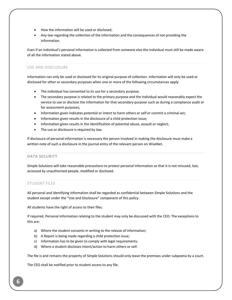- How the information will be used or disclosed;
- Any law regarding the collection of the information and the consequences of not providing the information.

Even if an individual's personal information is collected from someone else the individual must still be made aware of all the information stated above.

# USE AND DISCLOSURE

Information can only be used or disclosed for its original purpose of collection. Information will only be used or disclosed for other or secondary purposes when one or more of the following circumstances apply:

- The individual has consented to its use for a secondary purpose;
- The secondary purpose is related to the primary purpose and the individual would reasonably expect the service to use or disclose the information for that secondary purpose such as during a compliance audit or for assessment purposes;
- Information given indicates potential or intent to harm others or self or commit a criminal act;
- Information given results in the disclosure of a child protection issue;
- Information given results in the identification of potential abuse, assault or neglect;
- The use or disclosure is required by law.

If disclosure of personal information is necessary the person involved in making the disclosure must make a written note of such a disclosure in the journal entry of the relevant person on WiseNet.

# <span id="page-6-0"></span>DATA SECURITY

Simple Solutions will take reasonable precautions to protect personal information so that it is not misused, lost, accessed by unauthorised people, modified or disclosed.

# STUDENT FILES

All personal and identifying information shall be regarded as confidential between Simple Solutions and the student except under the "Use and Disclosure" component of this policy.

All students have the right of access to their files.

If required, Personal Information relating to the student may only be discussed with the CEO. The exceptions to this are:

- a) Where the student consents in writing to the release of information;
- b) A Report is being made regarding a child protection issue;
- c) Information has to be given to comply with legal requirements;
- d) Where a student discloses intent/action to harm others or self.

The file is and remains the property of Simple Solutions should only leave the premises under subpoena by a court.

The CEO shall be notified prior to student access to any file.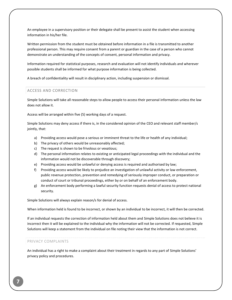An employee in a supervisory position or their delegate shall be present to assist the student when accessing information in his/her file.

Written permission from the student must be obtained before information in a file is transmitted to another professional person. This may require consent from a parent or guardian in the case of a person who cannot demonstrate an understanding of the concepts of consent, personal information and privacy.

Information required for statistical purposes, research and evaluation will not identify individuals and wherever possible students shall be informed for what purpose information is being collected.

A breach of confidentiality will result in disciplinary action, including suspension or dismissal.

### <span id="page-7-0"></span>ACCESS AND CORRECTION

Simple Solutions will take all reasonable steps to allow people to access their personal information unless the law does not allow it.

Access will be arranged within five (5) working days of a request.

Simple Solutions may deny access if there is, in the considered opinion of the CEO and relevant staff member/s jointly, that:

- a) Providing access would pose a serious or imminent threat to the life or health of any individual;
- b) The privacy of others would be unreasonably affected;
- c) The request is shown to be frivolous or vexatious;
- d) The personal information relates to existing or anticipated legal proceedings with the individual and the information would not be discoverable through discovery;
- e) Providing access would be unlawful or denying access is required and authorised by law;
- f) Providing access would be likely to prejudice an investigation of unlawful activity or law enforcement, public revenue protection, prevention and remedying of seriously improper conduct, or preparation or conduct of court or tribunal proceedings, either by or on behalf of an enforcement body.
- g) An enforcement body performing a lawful security function requests denial of access to protect national security.

Simple Solutions will always explain reason/s for denial of access.

When information held is found to be incorrect, or shown by an individual to be incorrect, it will then be corrected.

If an individual requests the correction of information held about them and Simple Solutions does not believe it is incorrect then it will be explained to the individual why the information will not be corrected. If requested, Simple Solutions will keep a statement from the individual on file noting their view that the information is not correct.

### PRIVACY COMPLAINTS

An individual has a right to make a complaint about their treatment in regards to any part of Simple Solutions' privacy policy and procedures.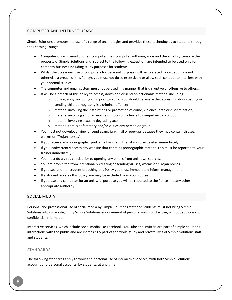# <span id="page-8-0"></span>COMPUTER AND INTERNET USAGE

Simple Solutions promotes the use of a range of technologies and provides these technologies to students through the Learning Lounge.

- Computers, iPads, smartphones, computer files, computer software, apps and the email system are the property of Simple Solutions and, subject to the following exception, are intended to be used only for company business including study purposes for students.
- Whilst the occasional use of computers for personal purposes will be tolerated (provided this is not otherwise a breach of this Policy), you must not do so excessively or allow such conduct to interfere with your normal studies.
- The computer and email system must not be used in a manner that is disruptive or offensive to others.
- It will be a breach of this policy to access, download or send objectionable material including:
	- o pornography, including child pornography. You should be aware that accessing, downloading or sending child pornography is a criminal offence;
	- o material involving the instructions or promotion of crime, violence, hate or discrimination;
	- o material involving an offensive description of violence to compel sexual conduct;
	- o material involving sexually degrading acts;
	- o material that is defamatory and/or vilifies any person or group.
- You must not download, view or send spam, junk mail or pop-ups because they may contain viruses, worms or "Trojan horses".
- If you receive any pornographic, junk email or spam, then it must be deleted immediately.
- If you inadvertently access any website that contains pornographic material this must be reported to your trainer immediately.
- You must do a virus check prior to opening any emails from unknown sources.
- You are prohibited from intentionally creating or sending viruses, worms or "Trojan horses".
- If you see another student breaching this Policy you must immediately inform management.
- If a student violates this policy you may be excluded from your course.
- If you use any computer for an unlawful purpose you will be reported to the Police and any other appropriate authority.

### <span id="page-8-1"></span>SOCIAL MEDIA

Personal and professional use of social media by Simple Solutions staff and students must not bring Simple Solutions into disrepute, imply Simple Solutions endorsement of personal views or disclose, without authorisation, confidential information.

Interactive services, which include social media like Facebook, YouTube and Twitter, are part of Simple Solutions interactions with the public and are increasingly part of the work, study and private lives of Simple Solutions staff and students.

# <span id="page-8-2"></span>STANDARDS

The following standards apply to work and personal use of interactive services, with both Simple Solutions accounts and personal accounts, by students, at any time: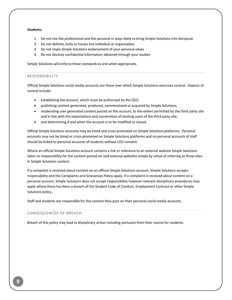### *Students:*

- 1. Do not mix the professional and the personal in ways likely to bring Simple Solutions into disrepute
- 2. Do not defame, bully or harass any individual or organisation
- 3. Do not imply Simple Solutions endorsement of your personal views
- 4. Do not disclose confidential information obtained through your studies

Simple Solutions will enforce these standards as and when appropriate.

### <span id="page-9-0"></span>RESPONSIBILITY

Official Simple Solutions social media accounts are those over which Simple Solutions exercises control. Aspects of control include:

- establishing the account, which must be authorised by the CEO;
- publishing content generated, produced, commissioned or acquired by Simple Solutions;
- moderating user generated content posted on the account, to the extent permitted by the third party site and in line with the expectations and conventions of existing users of the third party site;
- and determining if and when the account is to be modified or closed.

Official Simple Solutions accounts may be listed and cross‐promoted on Simple Solutions platforms. Personal accounts may not be listed or cross‐promoted on Simple Solutions platforms and no personal accounts of staff should be linked to personal accounts of students without CEO consent.

Where an official Simple Solutions account contains a link or reference to an external website Simple Solutions takes no responsibility for the content posted on said external websites simply by virtue of referring to those sites in Simple Solutions content.

If a complaint is received about content on an official Simple Solutions account, Simple Solutions accepts responsibility and the Complaints and Grievances Policy apply. If a complaint is received about content on a personal account, Simple Solutions does not accept responsibility however relevant disciplinary procedures may apply where there has been a breach of the Student Code of Conduct, Employment Contract or other Simple Solutions policy..

Staff and students are responsible for the content they post on their personal social media accounts.

### <span id="page-9-1"></span>CONSEQUENCES OF BREACH

Breach of this policy may lead to disciplinary action including exclusion from their course for students.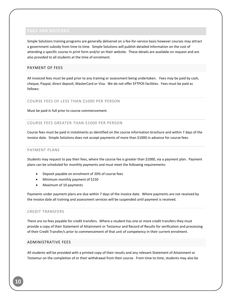<span id="page-10-0"></span>Simple Solutions training programs are generally delivered on a fee-for-service basis however courses may attract a government subsidy from time to time. Simple Solutions will publish detailed information on the cost of attending a specific course in print form and/or on their website. These details are available on request and are also provided to all students at the time of enrolment.

# <span id="page-10-1"></span>PAYMENT OF FEES

All invoiced fees must be paid prior to any training or assessment being undertaken. Fees may be paid by cash, cheque, Paypal, direct deposit, MasterCard or Visa. We do not offer EFTPOS facilities. Fees must be paid as follows:

# <span id="page-10-2"></span>COURSE FEES OF LESS THAN \$1000 PER PERSON

Must be paid in full prior to course commencement.

# <span id="page-10-3"></span>COURSE FEES GREATER THAN \$1000 PER PERSON

Course fees must be paid in instalments as identified on the course information brochure and within 7 days of the invoice date. Simple Solutions does not accept payments of more than \$1000 in advance for course fees.

# <span id="page-10-4"></span>PAYMENT PLANS

Students may request to pay their fees, where the course fee is greater than \$1000, via a payment plan. Payment plans can be scheduled for monthly payments and must meet the following requirements:

- Deposit payable on enrolment of 20% of course fees
- Minimum monthly payment of \$150
- Maximum of 10 payments

Payments under payment plans are due within 7 days of the invoice date. Where payments are not received by the invoice date all training and assessment services will be suspended until payment is received.

### <span id="page-10-5"></span>CREDIT TRANSFERS

There are no fees payable for credit transfers. Where a student has one or more credit transfers they must provide a copy of their Statement of Attainment or Testamur and Record of Results for verification and processing of their Credit Transfer/s prior to commencement of that unit of competency in their current enrolment.

### <span id="page-10-6"></span>ADMINISTRATIVE FEES

All students will be provided with a printed copy of their results and any relevant Statement of Attainment or Testamur on the completion of or their withdrawal from their course. From time to time, students may also be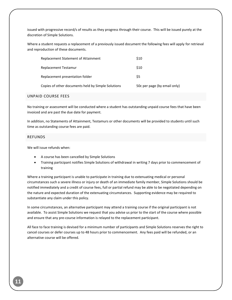issued with progressive record/s of results as they progress through their course. This will be issued purely at the discretion of Simple Solutions.

Where a student requests a replacement of a previously issued document the following fees will apply for retrieval and reproduction of these documents.

| Replacement Statement of Attainment                | \$10                         |
|----------------------------------------------------|------------------------------|
| Replacement Testamur                               | \$10                         |
| Replacement presentation folder                    | S5                           |
| Copies of other documents held by Simple Solutions | 50c per page (by email only) |

### <span id="page-11-0"></span>UNPAID COURSE FEES

No training or assessment will be conducted where a student has outstanding unpaid course fees that have been invoiced and are past the due date for payment.

In addition, no Statements of Attainment, Testamurs or other documents will be provided to students until such time as outstanding course fees are paid.

### <span id="page-11-1"></span>REFUNDS

We will issue refunds when:

- A course has been cancelled by Simple Solutions
- Training participant notifies Simple Solutions of withdrawal in writing 7 days prior to commencement of training

Where a training participant is unable to participate in training due to extenuating medical or personal circumstances such a severe illness or injury or death of an immediate family member, Simple Solutions should be notified immediately and a credit of course fees, full or partial refund may be able to be negotiated depending on the nature and expected duration of the extenuating circumstances. Supporting evidence may be required to substantiate any claim under this policy.

In some circumstances, an alternative participant may attend a training course if the original participant is not available. To assist Simple Solutions we request that you advise us prior to the start of the course where possible and ensure that any pre-course information is relayed to the replacement participant.

All face to face training is devised for a minimum number of participants and Simple Solutions reserves the right to cancel courses or defer courses up to 48 hours prior to commencement. Any fees paid will be refunded, or an alternative course will be offered.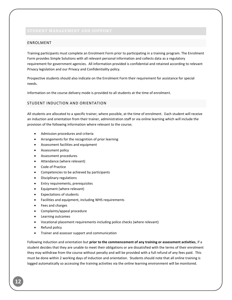# <span id="page-12-1"></span><span id="page-12-0"></span>ENROLMENT

Training participants must complete an Enrolment Form prior to participating in a training program. The Enrolment Form provides Simple Solutions with all relevant personal information and collects data as a regulatory requirement for government agencies. All information provided is confidential and retained according to relevant Privacy legislation and our Privacy and Confidentiality policy.

Prospective students should also indicate on the Enrolment Form their requirement for assistance for special needs.

Information on the course delivery mode is provided to all students at the time of enrolment.

# <span id="page-12-2"></span>STUDENT INDUCTION AND ORIENTATION

All students are allocated to a specific trainer, where possible, at the time of enrolment. Each student will receive an induction and orientation from their trainer, administration staff or via online learning which will include the provision of the following information where relevant to the course;

- Admission procedures and criteria
- Arrangements for the recognition of prior learning
- Assessment facilities and equipment
- **•** Assessment policy
- Assessment procedures
- Attendance (where relevant)
- Code of Practice
- Competencies to be achieved by participants
- Disciplinary regulations
- Entry requirements, prerequisites
- Equipment (where relevant)
- Expectations of students
- Facilities and equipment, including WHS requirements
- Fees and charges
- Complaints/appeal procedure
- Learning outcomes
- Vocational placement requirements including police checks (where relevant)
- Refund policy
- Trainer and assessor support and communication

Following induction and orientation but **prior to the commencement of any training or assessment activities**, if a student decides that they are unable to meet their obligations or are dissatisfied with the terms of their enrolment they may withdraw from the course without penalty and will be provided with a full refund of any fees paid. This must be done within 2 working days of induction and orientation. Students should note that all online training is logged automatically so accessing the training activities via the online learning environment will be monitored.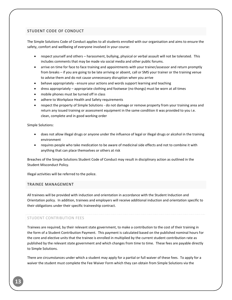# <span id="page-13-0"></span>STUDENT CODE OF CONDUCT

The Simple Solutions Code of Conduct applies to all students enrolled with our organisation and aims to ensure the safety, comfort and wellbeing of everyone involved in your course:

- respect yourself and others harassment, bullying, physical or verbal assault will not be tolerated. This includes comments that may be made via social media and other public forums.
- arrive on time for face to face training and appointments with your trainer/assessor and return promptly from breaks – if you are going to be late arriving or absent, call or SMS your trainer or the training venue to advise them and do not cause unnecessary disruption when you arrive
- behave appropriately ensure your actions and words support learning and teaching
- dress appropriately appropriate clothing and footwear (no thongs) must be worn at all times
- mobile phones must be turned off in class
- adhere to Workplace Health and Safety requirements
- respect the property of Simple Solutions do not damage or remove property from your training area and return any issued training or assessment equipment in the same condition it was provided to you i.e. clean, complete and in good working order

Simple Solutions:

- does not allow illegal drugs or anyone under the influence of legal or illegal drugs or alcohol in the training environment
- requires people who take medication to be aware of medicinal side effects and not to combine it with anything that can place themselves or others at risk

Breaches of the Simple Solutions Student Code of Conduct may result in disciplinary action as outlined in the Student Misconduct Policy.

Illegal activities will be referred to the police.

### <span id="page-13-1"></span>TRAINEE MANAGEMENT

All trainees will be provided with induction and orientation in accordance with the Student Induction and Orientation policy. In addition, trainees and employers will receive additional induction and orientation specific to their obligations under their specific traineeship contract.

### STUDENT CONTRIBUTION FEES

Trainees are required, by their relevant state government, to make a contribution to the cost of their training in the form of a Student Contribution Payment. This payment is calculated based on the published nominal hours for the core and elective units that the trainee is enrolled in multiplied by the current student contribution rate as published by the relevant state government and which changes from time to time. These fees are payable directly to Simple Solutions.

There are circumstances under which a student may apply for a partial or full waiver of these fees. To apply for a waiver the student must complete the Fee Waiver Form which they can obtain from Simple Solutions via the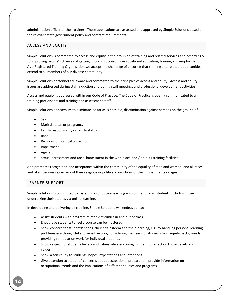administration officer or their trainer. These applications are assessed and approved by Simple Solutions based on the relevant state government policy and contract requirements.

# <span id="page-14-0"></span>ACCESS AND EQUITY

Simple Solutions is committed to access and equity in the provision of training and related services and accordingly to improving people's chances of getting into and succeeding in vocational education, training and employment. As a Registered Training Organisation we accept the challenge of ensuring that training and related opportunities extend to all members of our diverse community.

Simple Solutions personnel are aware and committed to the principles of access and equity. Access and equity issues are addressed during staff induction and during staff meetings and professional development activities.

Access and equity is addressed within our Code of Practice. The Code of Practice is openly communicated to all training participants and training and assessment staff.

Simple Solutions endeavours to eliminate, so far as is possible, discrimination against persons on the ground of;

- Sex
- Marital status or pregnancy
- Family responsibility or family status
- Race
- Religious or political conviction
- Impairment
- Age, etc
- sexual harassment and racial harassment in the workplace and / or in its training facilities

And promotes recognition and acceptance within the community of the equality of men and women; and all races and of all persons regardless of their religious or political convictions or their impairments or ages.

### <span id="page-14-1"></span>LEARNER SUPPORT

Simple Solutions is committed to fostering a conducive learning environment for all students including those undertaking their studies via online learning.

In developing and delivering all training, Simple Solutions will endeavour to:

- Assist students with program related difficulties in and out of class.
- Encourage students to feel a course can be mastered.
- Show concern for students' needs, their self-esteem and their learning, e.g. by handling personal learning problems in a thoughtful and sensitive way; considering the needs of students from equity backgrounds; providing remediation work for individual students.
- Show respect for students beliefs and values while encouraging them to reflect on those beliefs and values.
- Show a sensitivity to students' hopes, expectations and intentions.
- Give attention to students' concerns about occupational preparation, provide information on occupational trends and the implications of different courses and programs.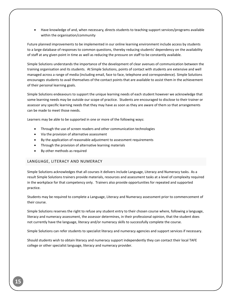Have knowledge of and, when necessary, directs students to teaching support services/programs available within the organisation/community

Future planned improvements to be implemented in our online learning environment include access by students to a large database of responses to common questions, thereby reducing students' dependency on the availability of staff at any given point in time as well as reducing the pressure on staff to be constantly available.

Simple Solutions understands the importance of the development of clear avenues of communication between the training organisation and its students. At Simple Solutions, points of contact with students are extensive and well managed across a range of media (including email, face to face, telephone and correspondence). Simple Solutions encourages students to avail themselves of the contact points that are available to assist them in the achievement of their personal learning goals.

Simple Solutions endeavours to support the unique learning needs of each student however we acknowledge that some learning needs may be outside our scope of practice. Students are encouraged to disclose to their trainer or assessor any specific learning needs that they may have as soon as they are aware of them so that arrangements can be made to meet those needs.

Learners may be able to be supported in one or more of the following ways:

- Through the use of screen readers and other communication technologies
- Via the provision of alternative assessment
- By the application of reasonable adjustment to assessment requirements
- Through the provision of alternative learning materials
- By other methods as required

### <span id="page-15-0"></span>LANGUAGE, LITERACY AND NUMERACY

Simple Solutions acknowledges that all courses it delivers include Language, Literacy and Numeracy tasks. As a result Simple Solutions trainers provide materials, resources and assessment tasks at a level of complexity required in the workplace for that competency only. Trainers also provide opportunities for repeated and supported practice.

Students may be required to complete a Language, Literacy and Numeracy assessment prior to commencement of their course.

Simple Solutions reserves the right to refuse any student entry to their chosen course where, following a language, literacy and numeracy assessment, the assessor determines, in their professional opinion, that the student does not currently have the language, literacy and/or numeracy skills to successfully complete the course.

Simple Solutions can refer students to specialist literacy and numeracy agencies and support services if necessary.

Should students wish to obtain literacy and numeracy support independently they can contact their local TAFE college or other specialist language, literacy and numeracy provider.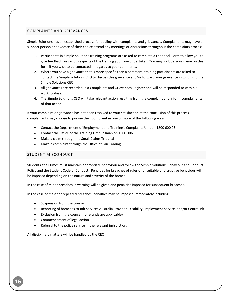# <span id="page-16-0"></span>COMPLAINTS AND GRIEVANCES

Simple Solutions has an established process for dealing with complaints and grievances. Complainants may have a support person or advocate of their choice attend any meetings or discussions throughout the complaints process.

- 1. Participants in Simple Solutions training programs are asked to complete a Feedback Form to allow you to give feedback on various aspects of the training you have undertaken. You may include your name on this form if you wish to be contacted in regards to your comments.
- 2. Where you have a grievance that is more specific than a comment, training participants are asked to contact the Simple Solutions CEO to discuss this grievance and/or forward your grievance in writing to the Simple Solutions CEO.
- 3. All grievances are recorded in a Complaints and Grievances Register and will be responded to within 5 working days.
- 4. The Simple Solutions CEO will take relevant action resulting from the complaint and inform complainants of that action.

If your complaint or grievance has not been resolved to your satisfaction at the conclusion of this process complainants may choose to pursue their complaint in one or more of the following ways:

- Contact the Department of Employment and Training's Complaints Unit on 1800 600 03
- Contact the Office of the Training Ombudsman on 1300 306 399
- Make a claim through the Small Claims Tribunal
- Make a complaint through the Office of Fair Trading

# <span id="page-16-1"></span>STUDENT MISCONDUCT

Students at all times must maintain appropriate behaviour and follow the Simple Solutions Behaviour and Conduct Policy and the Student Code of Conduct. Penalties for breaches of rules or unsuitable or disruptive behaviour will be imposed depending on the nature and severity of the breach.

In the case of minor breaches, a warning will be given and penalties imposed for subsequent breaches.

In the case of major or repeated breaches, penalties may be imposed immediately including;

- Suspension from the course
- Reporting of breaches to Job Services Australia Provider, Disability Employment Service, and/or Centrelink
- Exclusion from the course (no refunds are applicable)
- Commencement of legal action
- Referral to the police service in the relevant jurisdiction.

All disciplinary matters will be handled by the CEO.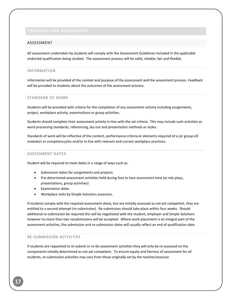### <span id="page-17-1"></span><span id="page-17-0"></span>ASSESSMENT

All assessment undertaken by students will comply with the Assessment Guidelines included in the applicable endorsed qualification being studied. The assessment process will be valid, reliable, fair and flexible.

### <span id="page-17-2"></span>INFORMATION

Information will be provided of the context and purpose of the assessment and the assessment process. Feedback will be provided to students about the outcomes of the assessment process.

### <span id="page-17-3"></span>STANDARD OF WORK

Students will be provided with criteria for the completion of any assessment activity including assignments, project, workplace activity, examinations or group activities.

Students should complete their assessment activity in-line with the set criteria. This may include such activities as word processing standards, referencing, lay-out and presentation methods or styles.

Standards of work will be reflective of the content, performance criteria or elements required of a (or group of) module/s or competency/ies and/or in-line with relevant and current workplace practices.

### <span id="page-17-4"></span>ASSESSMENT DATES

Student will be required to meet dates in a range of ways such as:

- Submission dates for assignments and projects
- Pre-determined assessment activities held during face to face assessment time (ie role plays, presentations, group activities)
- Examination dates
- Workplace visits by Simple Solutions assessors.

If students comply with the required assessment dates, but are initially assessed as not yet competent, they are entitled to a second attempt (re-submission). Re-submission should take place within four weeks. Should additional re-submission be required this will be negotiated with the student, employer and Simple Solutions however no more than two resubmissions will be accepted. Where work placement is an integral part of the assessment activities, the submission and re-submission dates will usually reflect an end of qualification date.

### <span id="page-17-5"></span>RE-SUBMISSION ACTIVITIES

If students are requested to re-submit or re-do assessment activities they will only be re-assessed on the components initially determined as not yet competent. To ensure equity and fairness of assessment for all students, re-submission activities may vary from those originally set by the teacher/assessor.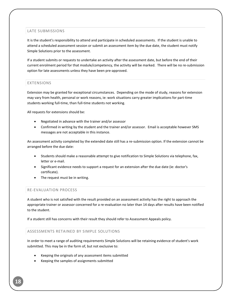# <span id="page-18-0"></span>LATE SUBMISSIONS

It is the student's responsibility to attend and participate in scheduled assessments. If the student is unable to attend a scheduled assessment session or submit an assessment item by the due date, the student must notify Simple Solutions prior to the assessment.

If a student submits or requests to undertake an activity after the assessment date, but before the end of their current enrolment period for that module/competency, the activity will be marked. There will be no re-submission option for late assessments unless they have been pre-approved.

# <span id="page-18-1"></span>EXTENSIONS

Extension may be granted for exceptional circumstances. Depending on the mode of study, reasons for extension may vary from health, personal or work reasons, ie: work situations carry greater implications for part-time students working full-time, than full-time students not working.

All requests for extensions should be:

- Negotiated in advance with the trainer and/or assessor
- Confirmed in writing by the student and the trainer and/or assessor. Email is acceptable however SMS messages are not acceptable in this instance.

An assessment activity completed by the extended date still has a re-submission option. If the extension cannot be arranged before the due date:

- Students should make a reasonable attempt to give notification to Simple Solutions via telephone, fax, letter or e-mail.
- Significant evidence needs to support a request for an extension after the due date (ie: doctor's certificate).
- The request must be in writing.

### <span id="page-18-2"></span>RE-EVALUATION PROCESS

A student who is not satisfied with the result provided on an assessment activity has the right to approach the appropriate trainer or assessor concerned for a re-evaluation no later than 14 days after results have been notified to the student.

If a student still has concerns with their result they should refer to Assessment Appeals policy.

### <span id="page-18-3"></span>ASSESSMENTS RETAINED BY SIMPLE SOLUTIONS

In order to meet a range of auditing requirements Simple Solutions will be retaining evidence of student's work submitted. This may be in the form of, but not exclusive to:

- Keeping the originals of any assessment items submitted
- Keeping the samples of assignments submitted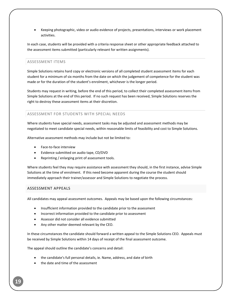Keeping photographic, video or audio evidence of projects, presentations, interviews or work placement activities.

In each case, students will be provided with a criteria response sheet or other appropriate feedback attached to the assessment items submitted (particularly relevant for written assignments).

### <span id="page-19-0"></span>ASSESSMENT ITEMS

Simple Solutions retains hard copy or electronic versions of all completed student assessment items for each student for a minimum of six months from the date on which the judgement of competence for the student was made or for the duration of the student's enrolment, whichever is the longer period.

Students may request in writing, before the end of this period, to collect their completed assessment items from Simple Solutions at the end of this period. If no such request has been received, Simple Solutions reserves the right to destroy these assessment items at their discretion.

# <span id="page-19-1"></span>ASSESSMENT FOR STUDENTS WITH SPECIAL NEEDS

Where students have special needs, assessment tasks may be adjusted and assessment methods may be negotiated to meet candidate special needs, within reasonable limits of feasibility and cost to Simple Solutions.

Alternative assessment methods may include but not be limited to:

- Face-to-face interview
- Evidence submitted on audio tape, CD/DVD
- Reprinting / enlarging print of assessment tools.

Where students feel they may require assistance with assessment they should, in the first instance, advise Simple Solutions at the time of enrolment. If this need become apparent during the course the student should immediately approach their trainer/assessor and Simple Solutions to negotiate the process.

### <span id="page-19-2"></span>ASSESSMENT APPEALS

All candidates may appeal assessment outcomes. Appeals may be based upon the following circumstances:

- Insufficient information provided to the candidate prior to the assessment
- Incorrect information provided to the candidate prior to assessment
- Assessor did not consider all evidence submitted
- Any other matter deemed relevant by the CEO.

In these circumstances the candidate should forward a written appeal to the Simple Solutions CEO. Appeals must be received by Simple Solutions within 14 days of receipt of the final assessment outcome.

The appeal should outline the candidate's concerns and detail:

- the candidate's full personal details, ie. Name, address, and date of birth
- the date and time of the assessment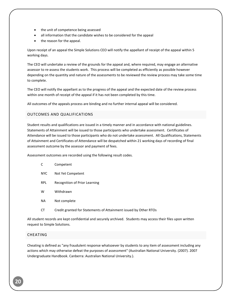- the unit of competence being assessed
- all information that the candidate wishes to be considered for the appeal
- the reason for the appeal.

Upon receipt of an appeal the Simple Solutions CEO will notify the appellant of receipt of the appeal within 5 working days.

The CEO will undertake a review of the grounds for the appeal and, where required, may engage an alternative assessor to re-assess the students work. This process will be completed as efficiently as possible however depending on the quantity and nature of the assessments to be reviewed the review process may take some time to complete.

The CEO will notify the appellant as to the progress of the appeal and the expected date of the review process within one month of receipt of the appeal if it has not been completed by this time.

All outcomes of the appeals process are binding and no further internal appeal will be considered.

# <span id="page-20-0"></span>OUTCOMES AND QUALIFICATIONS

Student results and qualifications are issued in a timely manner and in accordance with national guidelines. Statements of Attainment will be issued to those participants who undertake assessment. Certificates of Attendance will be issued to those participants who do not undertake assessment. All Qualifications, Statements of Attainment and Certificates of Attendance will be despatched within 21 working days of recording of final assessment outcome by the assessor and payment of fees.

Assessment outcomes are recorded using the following result codes.

- C Competent
- NYC Not Yet Competent
- RPL Recognition of Prior Learning
- W Withdrawn
- NA Not complete
- CT Credit granted for Statements of Attainment issued by Other RTOs

All student records are kept confidential and securely archived. Students may access their files upon written request to Simple Solutions.

### <span id="page-20-1"></span>CHEATING

Cheating is defined as "any fraudulent response whatsoever by students to any item of assessment including any actions which may otherwise defeat the purposes of assessment" (Australian National University. (2007). 2007 Undergraduate Handbook. Canberra: Australian National University.).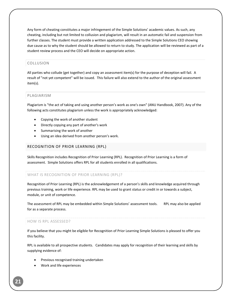Any form of cheating constitutes a major infringement of the Simple Solutions' academic values. As such, any cheating, including but not limited to collusion and plagiarism, will result in an automatic fail and suspension from further classes. The student must provide a written application addressed to the Simple Solutions CEO showing due cause as to why the student should be allowed to return to study. The application will be reviewed as part of a student review process and the CEO will decide on appropriate action.

# <span id="page-21-0"></span>COLLUSION

All parties who collude (get together) and copy an assessment item(s) for the purpose of deception will fail. A result of "not yet competent" will be issued. This failure will also extend to the author of the original assessment item(s).

# <span id="page-21-1"></span>PLAGIARISM

Plagiarism is "the act of taking and using another person's work as one's own" (ANU Handbook, 2007). Any of the following acts constitutes plagiarism unless the work is appropriately acknowledged:

- Copying the work of another student
- Directly copying any part of another's work
- Summarising the work of another
- Using an idea derived from another person's work.

### <span id="page-21-2"></span>RECOGNITION OF PRIOR LEARNING (RPL)

Skills Recognition includes Recognition of Prior Learning (RPL). Recognition of Prior Learning is a form of assessment. Simple Solutions offers RPL for all students enrolled in all qualifications.

### WHAT IS RECOGNITION OF PRIOR LEARNING (RPL)?

Recognition of Prior Learning (RPL) is the acknowledgement of a person's skills and knowledge acquired through previous training, work or life experience. RPL may be used to grant status or credit in or towards a subject, module, or unit of competence.

The assessment of RPL may be embedded within Simple Solutions' assessment tools. RPL may also be applied for as a separate process.

### HOW IS RPL ASSESSED?

If you believe that you might be eligible for Recognition of Prior Learning Simple Solutions is pleased to offer you this facility.

RPL is available to all prospective students. Candidates may apply for recognition of their learning and skills by supplying evidence of:

- Previous recognised training undertaken
- Work and life experiences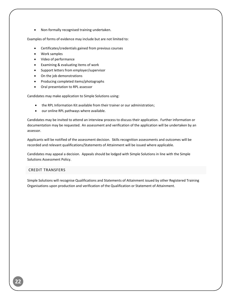Non-formally recognised training undertaken.

Examples of forms of evidence may include but are not limited to:

- Certificates/credentials gained from previous courses
- Work samples
- Video of performance
- Examining & evaluating items of work
- Support letters from employer/supervisor
- On the job demonstrations
- Producing completed items/photographs
- Oral presentation to RPL assessor

Candidates may make application to Simple Solutions using:

- the RPL Information Kit available from their trainer or our administration;
- our online RPL pathways where available.

Candidates may be invited to attend an interview process to discuss their application. Further information or documentation may be requested. An assessment and verification of the application will be undertaken by an assessor.

Applicants will be notified of the assessment decision. Skills recognition assessments and outcomes will be recorded and relevant qualifications/Statements of Attainment will be issued where applicable.

Candidates may appeal a decision. Appeals should be lodged with Simple Solutions in line with the Simple Solutions Assessment Policy.

### <span id="page-22-0"></span>CREDIT TRANSFERS

Simple Solutions will recognise Qualifications and Statements of Attainment issued by other Registered Training Organisations upon production and verification of the Qualification or Statement of Attainment.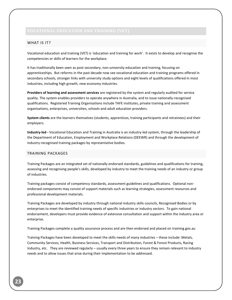### <span id="page-23-1"></span><span id="page-23-0"></span>WHAT IS IT?

Vocational education and training (VET) is 'education and training for work'. It exists to develop and recognise the competencies or skills of learners for the workplace.

It has traditionally been seen as post-secondary, non-university education and training, focusing on apprenticeships. But reforms in the past decade now see vocational education and training programs offered in secondary schools, stronger links with university study options and eight levels of qualifications offered in most industries, including high growth, new economy industries.

**Providers of learning and assessment services** are registered by the system and regularly audited for service quality. The system enables providers to operate anywhere in Australia, and to issue nationally-recognised qualifications. Registered Training Organisations include TAFE institutes, private training and assessment organisations, enterprises, universities, schools and adult education providers.

**System clients** are the learners themselves (students, apprentices, training participants and retrainees) and their employers.

**Industry-led -** Vocational Education and Training in Australia is an industry-led system, through the leadership of the Department of Education, Employment and Workplace Relations (DEEWR) and through the development of industry-recognised training packages by representative bodies.

# <span id="page-23-2"></span>TRAINING PACKAGES

Training Packages are an integrated set of nationally endorsed standards, guidelines and qualifications for training, assessing and recognising people's skills, developed by industry to meet the training needs of an industry or group of industries.

Training packages consist of competency standards, assessment guidelines and qualifications. Optional nonendorsed components may consist of support materials such as learning strategies, assessment resources and professional development materials.

Training Packages are developed by industry through national industry skills councils, Recognised Bodies or by enterprises to meet the identified training needs of specific industries or industry sectors. To gain national endorsement, developers must provide evidence of extensive consultation and support within the industry area or enterprise.

Training Packages complete a quality assurance process and are then endorsed and placed on training.gov.au

Training Packages have been developed to meet the skills needs of many industries – these include: Metals, Community Services, Health, Business Services, Transport and Distribution, Forest & Forest Products, Racing Industry, etc. They are reviewed regularly – usually every three years to ensure they remain relevant to industry needs and to allow issues that arise during their implementation to be addressed.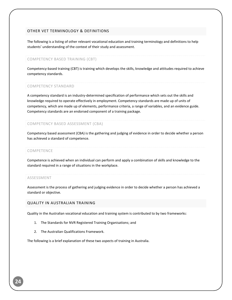# <span id="page-24-0"></span>OTHER VET TERMINOLOGY & DEFINITIONS

The following is a listing of other relevant vocational education and training terminology and definitions to help students' understanding of the context of their study and assessment.

# COMPETENCY BASED TRAINING (CBT)

Competency-based training (CBT) is training which develops the skills, knowledge and attitudes required to achieve competency standards.

### COMPETENCY STANDARD

A competency standard is an industry-determined specification of performance which sets out the skills and knowledge required to operate effectively in employment. Competency standards are made up of units of competency, which are made up of elements, performance criteria, a range of variables, and an evidence guide. Competency standards are an endorsed component of a training package.

# COMPETENCY BASED ASSESSMENT (CBA)

Competency based assessment (CBA) is the gathering and judging of evidence in order to decide whether a person has achieved a standard of competence.

### COMPETENCE

Competence is achieved when an individual can perform and apply a combination of skills and knowledge to the standard required in a range of situations in the workplace.

### ASSESSMENT

Assessment is the process of gathering and judging evidence in order to decide whether a person has achieved a standard or objective.

# <span id="page-24-1"></span>QUALITY IN AUSTRALIAN TRAINING

Quality in the Australian vocational education and training system is contributed to by two frameworks:

- 1. The Standards for NVR Registered Training Organisations; and
- 2. The Australian Qualifications Framework.

The following is a brief explanation of these two aspects of training in Australia.